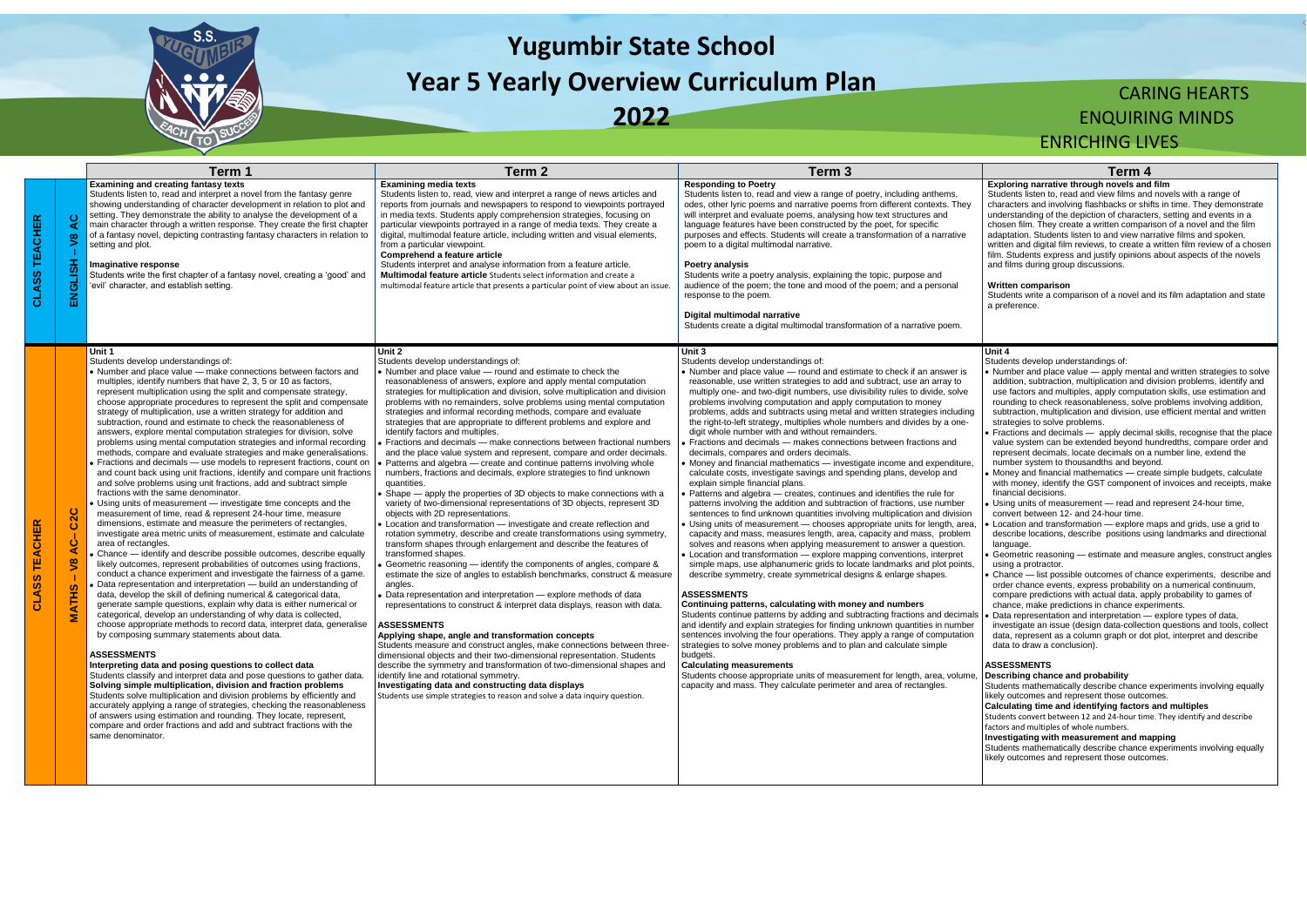

# **Yugumbir State School Year 5 Yearly Overview Curriculum Plan**

**2022**

## CARING HEARTS ENQUIRING MINDS ENRICHING LIVES

#### **Exploring narrative through novels and film**

Students listen to, read and view films and novels with a range of characters and involving flashbacks or shifts in time. They demonstrate understanding of the depiction of characters, setting and events in a chosen film. They create a written comparison of a novel and the film adaptation. Students listen to and view narrative films and spoken, written and digital film reviews, to create a written film review of a chosen film. Students express and justify opinions about aspects of the novels and films during group discussions.

#### **Written comparison**

Students write a comparison of a novel and its film adaptation and state a preference.

|                  |                                                                                         | Term 1                                                                                                                                                                                                                                                                                                                                                                                                                                                                                                                                                                                                                                                                                                                                                                                                                                                                                                                                                                                                                                                                                                                                                                                                                                                                                                                                                                                                                                                                                                                                                                                                                                                                                                                                                                                                                                                                                                                                                                                                                                                                                                                                                                                                                                                                                                                                                                                                                                           | Term <sub>2</sub>                                                                                                                                                                                                                                                                                                                                                                                                                                                                                                                                                                                                                                                                                                                                                                                                                                                                                                                                                                                                                                                                                                                                                                                                                                                                                                                                                                                                                                                                                                                                                                                                                                                                                                                                                                                                                                                                                                                                                                                                                                                              | Term <sub>3</sub>                                                                                                                                                                                                                                                                                                                                                                                                                                                                                                                                                                                                                                                                                                                                                                                                                                                                                                                                                                                                                                                                                                                                                                                                                                                                                                                                                                                                                                                                                                                                                                                                                                                                                                                                                                                                                                                                                                                                                                                                                                                                                                                                                     | Term 4                                                                                                                                                                                                                                                                                                                                                                                                                                                                                                                                                                                                                                                                                                                                                                                                                                                                                                                                                                                                                                                                                                                                                                                                                                                                                                                                                                                                                                                                                                                                                                                                                               |
|------------------|-----------------------------------------------------------------------------------------|--------------------------------------------------------------------------------------------------------------------------------------------------------------------------------------------------------------------------------------------------------------------------------------------------------------------------------------------------------------------------------------------------------------------------------------------------------------------------------------------------------------------------------------------------------------------------------------------------------------------------------------------------------------------------------------------------------------------------------------------------------------------------------------------------------------------------------------------------------------------------------------------------------------------------------------------------------------------------------------------------------------------------------------------------------------------------------------------------------------------------------------------------------------------------------------------------------------------------------------------------------------------------------------------------------------------------------------------------------------------------------------------------------------------------------------------------------------------------------------------------------------------------------------------------------------------------------------------------------------------------------------------------------------------------------------------------------------------------------------------------------------------------------------------------------------------------------------------------------------------------------------------------------------------------------------------------------------------------------------------------------------------------------------------------------------------------------------------------------------------------------------------------------------------------------------------------------------------------------------------------------------------------------------------------------------------------------------------------------------------------------------------------------------------------------------------------|--------------------------------------------------------------------------------------------------------------------------------------------------------------------------------------------------------------------------------------------------------------------------------------------------------------------------------------------------------------------------------------------------------------------------------------------------------------------------------------------------------------------------------------------------------------------------------------------------------------------------------------------------------------------------------------------------------------------------------------------------------------------------------------------------------------------------------------------------------------------------------------------------------------------------------------------------------------------------------------------------------------------------------------------------------------------------------------------------------------------------------------------------------------------------------------------------------------------------------------------------------------------------------------------------------------------------------------------------------------------------------------------------------------------------------------------------------------------------------------------------------------------------------------------------------------------------------------------------------------------------------------------------------------------------------------------------------------------------------------------------------------------------------------------------------------------------------------------------------------------------------------------------------------------------------------------------------------------------------------------------------------------------------------------------------------------------------|-----------------------------------------------------------------------------------------------------------------------------------------------------------------------------------------------------------------------------------------------------------------------------------------------------------------------------------------------------------------------------------------------------------------------------------------------------------------------------------------------------------------------------------------------------------------------------------------------------------------------------------------------------------------------------------------------------------------------------------------------------------------------------------------------------------------------------------------------------------------------------------------------------------------------------------------------------------------------------------------------------------------------------------------------------------------------------------------------------------------------------------------------------------------------------------------------------------------------------------------------------------------------------------------------------------------------------------------------------------------------------------------------------------------------------------------------------------------------------------------------------------------------------------------------------------------------------------------------------------------------------------------------------------------------------------------------------------------------------------------------------------------------------------------------------------------------------------------------------------------------------------------------------------------------------------------------------------------------------------------------------------------------------------------------------------------------------------------------------------------------------------------------------------------------|--------------------------------------------------------------------------------------------------------------------------------------------------------------------------------------------------------------------------------------------------------------------------------------------------------------------------------------------------------------------------------------------------------------------------------------------------------------------------------------------------------------------------------------------------------------------------------------------------------------------------------------------------------------------------------------------------------------------------------------------------------------------------------------------------------------------------------------------------------------------------------------------------------------------------------------------------------------------------------------------------------------------------------------------------------------------------------------------------------------------------------------------------------------------------------------------------------------------------------------------------------------------------------------------------------------------------------------------------------------------------------------------------------------------------------------------------------------------------------------------------------------------------------------------------------------------------------------------------------------------------------------|
| œ<br>ш<br>Õ<br>ō | $\mathbf C$<br>∢<br>$\sqrt{8}$<br>ENGLISH                                               | <b>Examining and creating fantasy texts</b><br>Students listen to, read and interpret a novel from the fantasy genre<br>showing understanding of character development in relation to plot and<br>setting. They demonstrate the ability to analyse the development of a<br>main character through a written response. They create the first chapter<br>of a fantasy novel, depicting contrasting fantasy characters in relation to<br>setting and plot.<br>lmaginative response<br>Students write the first chapter of a fantasy novel, creating a 'good' and<br>'evil' character, and establish setting.                                                                                                                                                                                                                                                                                                                                                                                                                                                                                                                                                                                                                                                                                                                                                                                                                                                                                                                                                                                                                                                                                                                                                                                                                                                                                                                                                                                                                                                                                                                                                                                                                                                                                                                                                                                                                                        | <b>Examining media texts</b><br>Students listen to, read, view and interpret a range of news articles and<br>reports from journals and newspapers to respond to viewpoints portrayed<br>in media texts. Students apply comprehension strategies, focusing on<br>particular viewpoints portrayed in a range of media texts. They create a<br>digital, multimodal feature article, including written and visual elements,<br>from a particular viewpoint.<br>Comprehend a feature article<br>Students interpret and analyse information from a feature article.<br><b>Multimodal feature article</b> Students select information and create a<br>multimodal feature article that presents a particular point of view about an issue.                                                                                                                                                                                                                                                                                                                                                                                                                                                                                                                                                                                                                                                                                                                                                                                                                                                                                                                                                                                                                                                                                                                                                                                                                                                                                                                                             | <b>Responding to Poetry</b><br>Students listen to, read and view a range of poetry, including anthems,<br>odes, other lyric poems and narrative poems from different contexts. They<br>will interpret and evaluate poems, analysing how text structures and<br>language features have been constructed by the poet, for specific<br>purposes and effects. Students will create a transformation of a narrative<br>poem to a digital multimodal narrative.<br>Poetry analysis<br>Students write a poetry analysis, explaining the topic, purpose and<br>audience of the poem; the tone and mood of the poem; and a personal<br>response to the poem.<br>Digital multimodal narrative<br>Students create a digital multimodal transformation of a narrative poem.                                                                                                                                                                                                                                                                                                                                                                                                                                                                                                                                                                                                                                                                                                                                                                                                                                                                                                                                                                                                                                                                                                                                                                                                                                                                                                                                                                                                       | Exploring narrative through novels and<br>Students listen to, read and view films and<br>characters and involving flashbacks or shi<br>understanding of the depiction of characte<br>chosen film. They create a written compar<br>adaptation. Students listen to and view na<br>written and digital film reviews, to create a<br>film. Students express and justify opinions<br>and films during group discussions.<br><b>Written comparison</b><br>Students write a comparison of a novel an<br>a preference.                                                                                                                                                                                                                                                                                                                                                                                                                                                                                                                                                                                                                                                                                                                                                                                                                                                                                                                                                                                                                                                                                                                       |
| Õ                | ပ<br>$\overline{\mathbf{N}}$<br>$\bullet$<br>ن<br>ھ<br>$\sqrt{8}$<br>-1<br><b>MATHS</b> | Unit 1<br>Students develop understandings of:<br>• Number and place value - make connections between factors and<br>multiples, identify numbers that have 2, 3, 5 or 10 as factors,<br>represent multiplication using the split and compensate strategy,<br>choose appropriate procedures to represent the split and compensate<br>strategy of multiplication, use a written strategy for addition and<br>subtraction, round and estimate to check the reasonableness of<br>answers, explore mental computation strategies for division, solve<br>problems using mental computation strategies and informal recording<br>methods, compare and evaluate strategies and make generalisations.<br>Fractions and decimals - use models to represent fractions, count on<br>and count back using unit fractions, identify and compare unit fractions<br>and solve problems using unit fractions, add and subtract simple<br>fractions with the same denominator.<br>Using units of measurement - investigate time concepts and the<br>measurement of time, read & represent 24-hour time, measure<br>dimensions, estimate and measure the perimeters of rectangles,<br>investigate area metric units of measurement, estimate and calculate<br>area of rectangles.<br>Chance - identify and describe possible outcomes, describe equally<br>likely outcomes, represent probabilities of outcomes using fractions,<br>conduct a chance experiment and investigate the fairness of a game.<br>Data representation and interpretation - build an understanding of<br>data, develop the skill of defining numerical & categorical data,<br>generate sample questions, explain why data is either numerical or<br>categorical, develop an understanding of why data is collected,<br>choose appropriate methods to record data, interpret data, generalise<br>by composing summary statements about data.<br><b>ASSESSMENTS</b><br>Interpreting data and posing questions to collect data<br>Students classify and interpret data and pose questions to gather data.<br>Solving simple multiplication, division and fraction problems<br>Students solve multiplication and division problems by efficiently and<br>accurately applying a range of strategies, checking the reasonableness<br>of answers using estimation and rounding. They locate, represent,<br>compare and order fractions and add and subtract fractions with the<br>same denominator. | Unit 2<br>Students develop understandings of:<br>• Number and place value - round and estimate to check the<br>reasonableness of answers, explore and apply mental computation<br>strategies for multiplication and division, solve multiplication and division<br>problems with no remainders, solve problems using mental computation<br>strategies and informal recording methods, compare and evaluate<br>strategies that are appropriate to different problems and explore and<br>identify factors and multiples.<br>Fractions and decimals - make connections between fractional numbers<br>and the place value system and represent, compare and order decimals.<br>Patterns and algebra – create and continue patterns involving whole<br>numbers, fractions and decimals, explore strategies to find unknown<br>quantities<br>Shape — apply the properties of 3D objects to make connections with a<br>variety of two-dimensional representations of 3D objects, represent 3D<br>objects with 2D representations.<br>• Location and transformation - investigate and create reflection and<br>rotation symmetry, describe and create transformations using symmetry,<br>transform shapes through enlargement and describe the features of<br>transformed shapes.<br>Geometric reasoning - identify the components of angles, compare &<br>estimate the size of angles to establish benchmarks, construct & measure<br>angles.<br>Data representation and interpretation - explore methods of data<br>representations to construct & interpret data displays, reason with data.<br><b>ASSESSMENTS</b><br>Applying shape, angle and transformation concepts<br>Students measure and construct angles, make connections between three-<br>dimensional objects and their two-dimensional representation. Students<br>describe the symmetry and transformation of two-dimensional shapes and<br>identify line and rotational symmetry.<br>Investigating data and constructing data displays<br>Students use simple strategies to reason and solve a data inquiry question. | Unit 3<br>Students develop understandings of:<br>• Number and place value - round and estimate to check if an answer is<br>reasonable, use written strategies to add and subtract, use an array to<br>multiply one- and two-digit numbers, use divisibility rules to divide, solve<br>problems involving computation and apply computation to money<br>problems, adds and subtracts using metal and written strategies including<br>the right-to-left strategy, multiplies whole numbers and divides by a one-<br>digit whole number with and without remainders.<br>Fractions and decimals - makes connections between fractions and<br>decimals, compares and orders decimals.<br>• Money and financial mathematics — investigate income and expenditure,<br>calculate costs, investigate savings and spending plans, develop and<br>explain simple financial plans.<br>Patterns and algebra - creates, continues and identifies the rule for<br>patterns involving the addition and subtraction of fractions, use number<br>sentences to find unknown quantities involving multiplication and division<br>• Using units of measurement - chooses appropriate units for length, area,<br>capacity and mass, measures length, area, capacity and mass, problem<br>solves and reasons when applying measurement to answer a question.<br>Location and transformation - explore mapping conventions, interpret<br>simple maps, use alphanumeric grids to locate landmarks and plot points,<br>describe symmetry, create symmetrical designs & enlarge shapes.<br><b>ASSESSMENTS</b><br>Continuing patterns, calculating with money and numbers<br>Students continue patterns by adding and subtracting fractions and decimals<br>and identify and explain strategies for finding unknown quantities in number<br>sentences involving the four operations. They apply a range of computation<br>strategies to solve money problems and to plan and calculate simple<br>budgets.<br><b>Calculating measurements</b><br>Students choose appropriate units of measurement for length, area, volume,<br>capacity and mass. They calculate perimeter and area of rectangles. | Unit 4<br>Students develop understandings of:<br>• Number and place value - apply menta<br>addition, subtraction, multiplication and c<br>use factors and multiples, apply computa<br>rounding to check reasonableness, solve<br>subtraction, multiplication and division, u<br>strategies to solve problems.<br>Fractions and decimals - apply decima<br>value system can be extended beyond h<br>represent decimals, locate decimals on a<br>number system to thousandths and beyo<br>Money and financial mathematics - crea<br>with money, identify the GST component<br>financial decisions.<br>Using units of measurement - read and<br>convert between 12- and 24-hour time.<br>Location and transformation - explore n<br>describe locations, describe positions us<br>language.<br>Geometric reasoning - estimate and me<br>using a protractor.<br>Chance - list possible outcomes of char<br>order chance events, express probability<br>compare predictions with actual data, ap<br>chance, make predictions in chance expe<br>Data representation and interpretation -<br>investigate an issue (design data-collecti<br>data, represent as a column graph or dot<br>data to draw a conclusion).<br><b>ASSESSMENTS</b><br>Describing chance and probability<br>Students mathematically describe chance<br>likely outcomes and represent those outco<br>Calculating time and identifying factors<br>Students convert between 12 and 24-hour tim<br>factors and multiples of whole numbers.<br>Investigating with measurement and ma<br>Students mathematically describe chance<br>likely outcomes and represent those outco |

### **Unit 4**

- Number and place value apply mental and written strategies to solve addition, subtraction, multiplication and division problems, identify and use factors and multiples, apply computation skills, use estimation and rounding to check reasonableness, solve problems involving addition. subtraction, multiplication and division, use efficient mental and written strategies to solve problems.
- Fractions and decimals apply decimal skills, recognise that the place value system can be extended beyond hundredths, compare order and represent decimals, locate decimals on a number line, extend the number system to thousandths and beyond.
- Money and financial mathematics create simple budgets, calculate with money, identify the GST component of invoices and receipts, make financial decisions.
- Using units of measurement read and represent 24-hour time, convert between 12- and 24-hour time.
- Location and transformation explore maps and grids, use a grid to describe locations, describe positions using landmarks and directional language.
- Geometric reasoning estimate and measure angles, construct angles using a protractor.
- Chance list possible outcomes of chance experiments, describe and order chance events, express probability on a numerical continuum, compare predictions with actual data, apply probability to games of chance, make predictions in chance experiments.
- Data representation and interpretation explore types of data, investigate an issue (design data-collection questions and tools, collect data, represent as a column graph or dot plot, interpret and describe data to draw a conclusion).

#### **ASSESSMENTS**

## **Describing chance and probability**

Students mathematically describe chance experiments involving equally likely outcomes and represent those outcomes.

#### **Calculating time and identifying factors and multiples**

Students convert between 12 and 24-hour time. They identify and describe factors and multiples of whole numbers.

#### **Investigating with measurement and mapping**

Students mathematically describe chance experiments involving equally likely outcomes and represent those outcomes.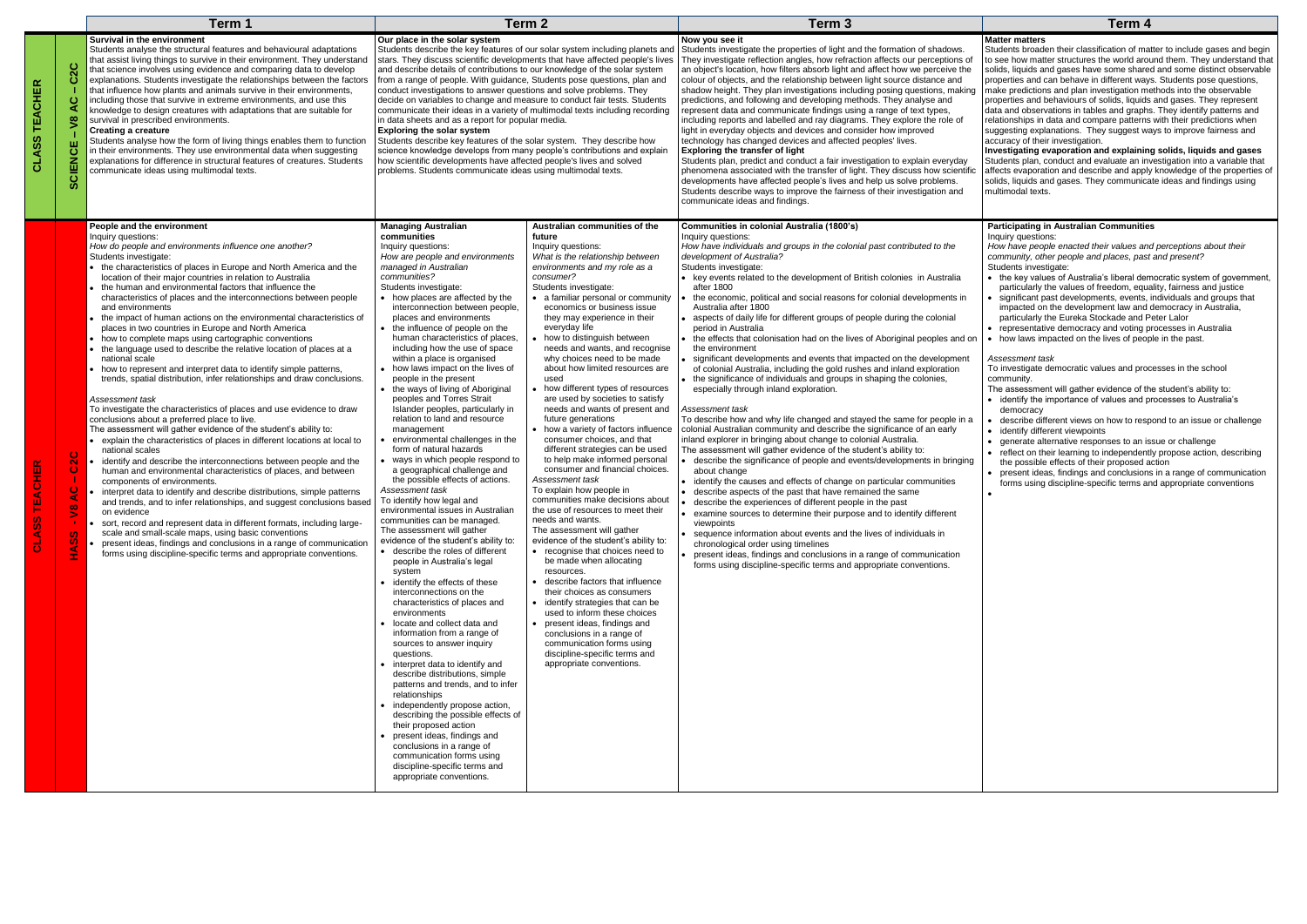#### **Matter matters**

Students broaden their classification of matter to include gases and begin to see how matter structures the world around them. They understand that solids, liquids and gases have some shared and some distinct observable properties and can behave in different ways. Students pose questions, make predictions and plan investigation methods into the observable properties and behaviours of solids, liquids and gases. They represent data and observations in tables and graphs. They identify patterns and relationships in data and compare patterns with their predictions when suggesting explanations. They suggest ways to improve fairness and accuracy of their investigation.

**Investigating evaporation and explaining solids, liquids and gases** Students plan, conduct and evaluate an investigation into a variable that affects evaporation and describe and apply knowledge of the properties of solids, liquids and gases. They communicate ideas and findings using multimodal texts.

|                                      |                                                                                                                                     | Term 1                                                                                                                                                                                                                                                                                                                                                                                                                                                                                                                                                                                                                                                                                                                                                                                                                                                                                                                                                                                                                                                                                                                                                                                                                                                                                                                                                                                                                                                                                                                                                                                                                                                                                                                                                                                    | Term <sub>2</sub>                                                                                                                                                                                                                                                                                                                                                                                                                                                                                                                                                                                                                                                                                                                                                                                                                                                                                                                                                                                                                                                                                                                                                                                                                                                                                                                                                                                                                                                                                                                                                                                                                                                                                     |                                                                                                                                                                                                                                                                                                                                                                                                                                                                                                                                                                                                                                                                                                                                                                                                                                                                                                                                                                                                                                                                                                                                                                                                                                                                                                                                                            | Term <sub>3</sub>                                                                                                                                                                                                                                                                                                                                                                                                                                                                                                                                                                                                                                                                                                                                                                                                                                                                                                                                                                                                                                                                                                                                                                                                                                                                                                                                                                                                                                                                                                                                                                                                                                                                                                                                                                                                                     | Term 4                                                                                                                                                                                                                                                                                                                                                                                                                                                                                                                                                                                                                                                                                                                                                                                                                                                                                                                                                                                       |
|--------------------------------------|-------------------------------------------------------------------------------------------------------------------------------------|-------------------------------------------------------------------------------------------------------------------------------------------------------------------------------------------------------------------------------------------------------------------------------------------------------------------------------------------------------------------------------------------------------------------------------------------------------------------------------------------------------------------------------------------------------------------------------------------------------------------------------------------------------------------------------------------------------------------------------------------------------------------------------------------------------------------------------------------------------------------------------------------------------------------------------------------------------------------------------------------------------------------------------------------------------------------------------------------------------------------------------------------------------------------------------------------------------------------------------------------------------------------------------------------------------------------------------------------------------------------------------------------------------------------------------------------------------------------------------------------------------------------------------------------------------------------------------------------------------------------------------------------------------------------------------------------------------------------------------------------------------------------------------------------|-------------------------------------------------------------------------------------------------------------------------------------------------------------------------------------------------------------------------------------------------------------------------------------------------------------------------------------------------------------------------------------------------------------------------------------------------------------------------------------------------------------------------------------------------------------------------------------------------------------------------------------------------------------------------------------------------------------------------------------------------------------------------------------------------------------------------------------------------------------------------------------------------------------------------------------------------------------------------------------------------------------------------------------------------------------------------------------------------------------------------------------------------------------------------------------------------------------------------------------------------------------------------------------------------------------------------------------------------------------------------------------------------------------------------------------------------------------------------------------------------------------------------------------------------------------------------------------------------------------------------------------------------------------------------------------------------------|------------------------------------------------------------------------------------------------------------------------------------------------------------------------------------------------------------------------------------------------------------------------------------------------------------------------------------------------------------------------------------------------------------------------------------------------------------------------------------------------------------------------------------------------------------------------------------------------------------------------------------------------------------------------------------------------------------------------------------------------------------------------------------------------------------------------------------------------------------------------------------------------------------------------------------------------------------------------------------------------------------------------------------------------------------------------------------------------------------------------------------------------------------------------------------------------------------------------------------------------------------------------------------------------------------------------------------------------------------|---------------------------------------------------------------------------------------------------------------------------------------------------------------------------------------------------------------------------------------------------------------------------------------------------------------------------------------------------------------------------------------------------------------------------------------------------------------------------------------------------------------------------------------------------------------------------------------------------------------------------------------------------------------------------------------------------------------------------------------------------------------------------------------------------------------------------------------------------------------------------------------------------------------------------------------------------------------------------------------------------------------------------------------------------------------------------------------------------------------------------------------------------------------------------------------------------------------------------------------------------------------------------------------------------------------------------------------------------------------------------------------------------------------------------------------------------------------------------------------------------------------------------------------------------------------------------------------------------------------------------------------------------------------------------------------------------------------------------------------------------------------------------------------------------------------------------------------|----------------------------------------------------------------------------------------------------------------------------------------------------------------------------------------------------------------------------------------------------------------------------------------------------------------------------------------------------------------------------------------------------------------------------------------------------------------------------------------------------------------------------------------------------------------------------------------------------------------------------------------------------------------------------------------------------------------------------------------------------------------------------------------------------------------------------------------------------------------------------------------------------------------------------------------------------------------------------------------------|
| $\frac{\alpha}{\Box}$<br>こ<br>ひ<br>ທ | C <sub>2C</sub><br>ပ<br>∢<br>$\overline{\mathbf{S}}$<br><b>SCIENCE</b>                                                              | Survival in the environment<br>Students analyse the structural features and behavioural adaptations<br>that assist living things to survive in their environment. They understand<br>that science involves using evidence and comparing data to develop<br>explanations. Students investigate the relationships between the factors<br>that influence how plants and animals survive in their environments,<br>including those that survive in extreme environments, and use this<br>knowledge to design creatures with adaptations that are suitable for<br>survival in prescribed environments.<br>Creating a creature<br>Students analyse how the form of living things enables them to function<br>in their environments. They use environmental data when suggesting<br>explanations for difference in structural features of creatures. Students<br>communicate ideas using multimodal texts.                                                                                                                                                                                                                                                                                                                                                                                                                                                                                                                                                                                                                                                                                                                                                                                                                                                                                       | Our place in the solar system<br>Students describe the key features of our solar system including planets and<br>stars. They discuss scientific developments that have affected people's lives<br>and describe details of contributions to our knowledge of the solar system<br>from a range of people. With guidance, Students pose questions, plan and<br>conduct investigations to answer questions and solve problems. They<br>decide on variables to change and measure to conduct fair tests. Students<br>communicate their ideas in a variety of multimodal texts including recording<br>in data sheets and as a report for popular media.<br><b>Exploring the solar system</b><br>Students describe key features of the solar system. They describe how<br>science knowledge develops from many people's contributions and explain<br>how scientific developments have affected people's lives and solved<br>problems. Students communicate ideas using multimodal texts.                                                                                                                                                                                                                                                                                                                                                                                                                                                                                                                                                                                                                                                                                                                     |                                                                                                                                                                                                                                                                                                                                                                                                                                                                                                                                                                                                                                                                                                                                                                                                                                                                                                                                                                                                                                                                                                                                                                                                                                                                                                                                                            | Now you see it<br>Students investigate the properties of light and the formation of shadows.<br>They investigate reflection angles, how refraction affects our perceptions of<br>an object's location, how filters absorb light and affect how we perceive the<br>colour of objects, and the relationship between light source distance and<br>shadow height. They plan investigations including posing questions, making<br>predictions, and following and developing methods. They analyse and<br>represent data and communicate findings using a range of text types,<br>including reports and labelled and ray diagrams. They explore the role of<br>light in everyday objects and devices and consider how improved<br>technology has changed devices and affected peoples' lives.<br>Exploring the transfer of light<br>Students plan, predict and conduct a fair investigation to explain everyday<br>phenomena associated with the transfer of light. They discuss how scientific<br>developments have affected people's lives and help us solve problems.<br>Students describe ways to improve the fairness of their investigation and<br>communicate ideas and findings.                                                                                                                                                                                                                                                                                                                                                                                                                                                                                                                                                                                                                                                    | <b>Matter matters</b><br>Students broaden their classification of ma<br>to see how matter structures the world aro<br>solids, liquids and gases have some share<br>properties and can behave in different way<br>make predictions and plan investigation me<br>properties and behaviours of solids, liquids<br>data and observations in tables and graphs<br>relationships in data and compare patterns<br>suggesting explanations. They suggest wa<br>accuracy of their investigation.<br>Investigating evaporation and explainin<br>Students plan, conduct and evaluate an in<br>affects evaporation and describe and apply<br>solids, liquids and gases. They communica<br>multimodal texts.                                                                                                                                                                                                                                                                                              |
|                                      | $\circ$<br>$\overline{\mathbf{N}}$<br>Ö<br>$\circ$<br>$\blacktriangleleft$<br>$\tilde{z}$<br>S<br><b>SC</b><br>$\blacktriangleleft$ | People and the environment<br>Inquiry questions:<br>How do people and environments influence one another?<br>Students investigate:<br>the characteristics of places in Europe and North America and the<br>location of their major countries in relation to Australia<br>the human and environmental factors that influence the<br>characteristics of places and the interconnections between people<br>and environments<br>the impact of human actions on the environmental characteristics of<br>places in two countries in Europe and North America<br>how to complete maps using cartographic conventions<br>the language used to describe the relative location of places at a<br>national scale<br>how to represent and interpret data to identify simple patterns,<br>trends, spatial distribution, infer relationships and draw conclusions.<br>Assessment task<br>To investigate the characteristics of places and use evidence to draw<br>conclusions about a preferred place to live.<br>The assessment will gather evidence of the student's ability to:<br>explain the characteristics of places in different locations at local to<br>national scales<br>identify and describe the interconnections between people and the<br>human and environmental characteristics of places, and between<br>components of environments.<br>interpret data to identify and describe distributions, simple patterns<br>and trends, and to infer relationships, and suggest conclusions based<br>on evidence<br>sort, record and represent data in different formats, including large-<br>scale and small-scale maps, using basic conventions<br>present ideas, findings and conclusions in a range of communication<br>forms using discipline-specific terms and appropriate conventions. | <b>Managing Australian</b><br>communities<br>Inquiry questions:<br>How are people and environments<br>managed in Australian<br>communities?<br>Students investigate:<br>• how places are affected by the<br>interconnection between people,<br>places and environments<br>• the influence of people on the<br>human characteristics of places,<br>including how the use of space<br>within a place is organised<br>• how laws impact on the lives of<br>people in the present<br>• the ways of living of Aboriginal<br>peoples and Torres Strait<br>Islander peoples, particularly in<br>relation to land and resource<br>management<br>environmental challenges in the<br>form of natural hazards<br>• ways in which people respond to<br>a geographical challenge and<br>the possible effects of actions.<br>Assessment task<br>To identify how legal and<br>environmental issues in Australian<br>communities can be managed.<br>The assessment will gather<br>evidence of the student's ability to:<br>• describe the roles of different<br>people in Australia's legal<br>system<br>• identify the effects of these<br>interconnections on the<br>characteristics of places and<br>environments<br>• locate and collect data and<br>information from a range of<br>sources to answer inquiry<br>questions.<br>• interpret data to identify and<br>describe distributions, simple<br>patterns and trends, and to infer<br>relationships<br>• independently propose action,<br>describing the possible effects of<br>their proposed action<br>• present ideas, findings and<br>conclusions in a range of<br>communication forms using<br>discipline-specific terms and<br>appropriate conventions. | Australian communities of the<br>future<br>Inquiry questions:<br>What is the relationship between<br>environments and my role as a<br>consumer?<br>Students investigate:<br>• a familiar personal or community<br>economics or business issue<br>they may experience in their<br>everyday life<br>how to distinguish between<br>needs and wants, and recognise<br>why choices need to be made<br>about how limited resources are<br>used<br>• how different types of resources<br>are used by societies to satisfy<br>needs and wants of present and<br>future generations<br>• how a variety of factors influence<br>consumer choices, and that<br>different strategies can be used<br>to help make informed personal<br>consumer and financial choices.<br>Assessment task<br>To explain how people in<br>communities make decisions about<br>the use of resources to meet their<br>needs and wants.<br>The assessment will gather<br>evidence of the student's ability to:<br>• recognise that choices need to<br>be made when allocating<br>resources.<br>• describe factors that influence<br>their choices as consumers<br>• identify strategies that can be<br>used to inform these choices<br>• present ideas, findings and<br>conclusions in a range of<br>communication forms using<br>discipline-specific terms and<br>appropriate conventions. | Communities in colonial Australia (1800's)<br>Inquiry questions:<br>How have individuals and groups in the colonial past contributed to the<br>development of Australia?<br>Students investigate:<br>• key events related to the development of British colonies in Australia<br>after 1800<br>the economic, political and social reasons for colonial developments in<br>Australia after 1800<br>aspects of daily life for different groups of people during the colonial<br>period in Australia<br>the effects that colonisation had on the lives of Aboriginal peoples and on<br>the environment<br>significant developments and events that impacted on the development<br>of colonial Australia, including the gold rushes and inland exploration<br>the significance of individuals and groups in shaping the colonies,<br>especially through inland exploration.<br>Assessment task<br>To describe how and why life changed and stayed the same for people in a<br>colonial Australian community and describe the significance of an early<br>inland explorer in bringing about change to colonial Australia.<br>The assessment will gather evidence of the student's ability to:<br>• describe the significance of people and events/developments in bringing<br>about change<br>identify the causes and effects of change on particular communities<br>• describe aspects of the past that have remained the same<br>describe the experiences of different people in the past<br>examine sources to determine their purpose and to identify different<br>viewpoints<br>sequence information about events and the lives of individuals in<br>chronological order using timelines<br>present ideas, findings and conclusions in a range of communication<br>forms using discipline-specific terms and appropriate conventions. | <b>Participating in Australian Communitie</b><br>Inquiry questions:<br>How have people enacted their values an<br>community, other people and places, past<br>Students investigate:<br>• the key values of Australia's liberal den<br>particularly the values of freedom, equa<br>significant past developments, events,<br>impacted on the development law and<br>particularly the Eureka Stockade and P<br>• representative democracy and voting p<br>how laws impacted on the lives of peop<br>Assessment task<br>To investigate democratic values and prod<br>community.<br>The assessment will gather evidence of the<br>• identify the importance of values and p<br>democracy<br>describe different views on how to resp<br>• identify different viewpoints<br>generate alternative responses to an is<br>reflect on their learning to independent<br>the possible effects of their proposed a<br>present ideas, findings and conclusion<br>forms using discipline-specific terms are |

- the key values of Australia's liberal democratic system of government, particularly the values of freedom, equality, fairness and justice
- significant past developments, events, individuals and groups that impacted on the development law and democracy in Australia, particularly the Eureka Stockade and Peter Lalor
- representative democracy and voting processes in Australia
- how laws impacted on the lives of people in the past.

## **Participating in Australian Communities**

#### Inquiry questions:

*How have people enacted their values and perceptions about their community, other people and places, past and present?* Students investigate:

#### *Assessment task*

To investigate democratic values and processes in the school community.

- The assessment will gather evidence of the student's ability to:
- identify the importance of values and processes to Australia's democracy
- describe different views on how to respond to an issue or challenge • identify different viewpoints
- generate alternative responses to an issue or challenge
- reflect on their learning to independently propose action, describing the possible effects of their proposed action
- present ideas, findings and conclusions in a range of communication forms using discipline-specific terms and appropriate conventions
- •